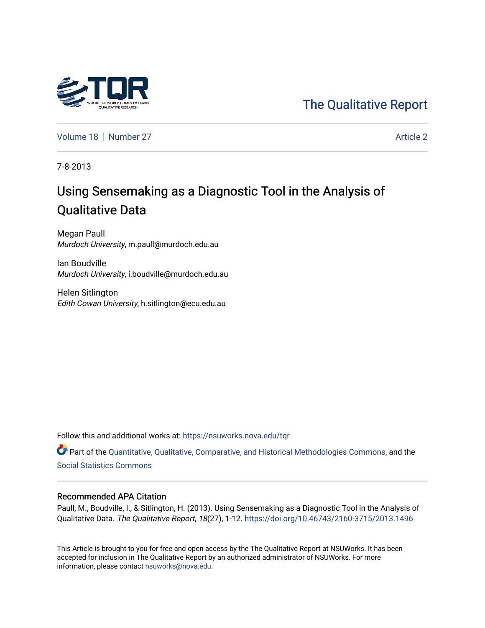

## [The Qualitative Report](https://nsuworks.nova.edu/tqr)

[Volume 18](https://nsuworks.nova.edu/tqr/vol18) [Number 27](https://nsuworks.nova.edu/tqr/vol18/iss27) [Article 2](https://nsuworks.nova.edu/tqr/vol18/iss27/2) Article 2

7-8-2013

# Using Sensemaking as a Diagnostic Tool in the Analysis of Qualitative Data

Megan Paull Murdoch University, m.paull@murdoch.edu.au

Ian Boudville Murdoch University, i.boudville@murdoch.edu.au

Helen Sitlington Edith Cowan University, h.sitlington@ecu.edu.au

Follow this and additional works at: [https://nsuworks.nova.edu/tqr](https://nsuworks.nova.edu/tqr?utm_source=nsuworks.nova.edu%2Ftqr%2Fvol18%2Fiss27%2F2&utm_medium=PDF&utm_campaign=PDFCoverPages) 

Part of the [Quantitative, Qualitative, Comparative, and Historical Methodologies Commons,](http://network.bepress.com/hgg/discipline/423?utm_source=nsuworks.nova.edu%2Ftqr%2Fvol18%2Fiss27%2F2&utm_medium=PDF&utm_campaign=PDFCoverPages) and the [Social Statistics Commons](http://network.bepress.com/hgg/discipline/1275?utm_source=nsuworks.nova.edu%2Ftqr%2Fvol18%2Fiss27%2F2&utm_medium=PDF&utm_campaign=PDFCoverPages) 

## Recommended APA Citation

Paull, M., Boudville, I., & Sitlington, H. (2013). Using Sensemaking as a Diagnostic Tool in the Analysis of Qualitative Data. The Qualitative Report, 18(27), 1-12. <https://doi.org/10.46743/2160-3715/2013.1496>

This Article is brought to you for free and open access by the The Qualitative Report at NSUWorks. It has been accepted for inclusion in The Qualitative Report by an authorized administrator of NSUWorks. For more information, please contact [nsuworks@nova.edu.](mailto:nsuworks@nova.edu)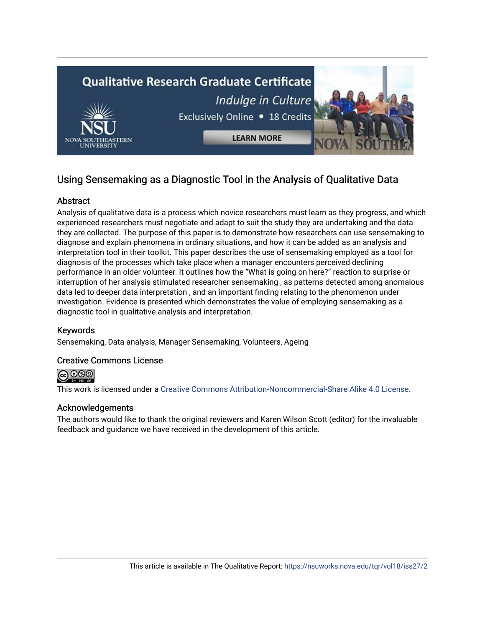

## Using Sensemaking as a Diagnostic Tool in the Analysis of Qualitative Data

## **Abstract**

Analysis of qualitative data is a process which novice researchers must learn as they progress, and which experienced researchers must negotiate and adapt to suit the study they are undertaking and the data they are collected. The purpose of this paper is to demonstrate how researchers can use sensemaking to diagnose and explain phenomena in ordinary situations, and how it can be added as an analysis and interpretation tool in their toolkit. This paper describes the use of sensemaking employed as a tool for diagnosis of the processes which take place when a manager encounters perceived declining performance in an older volunteer. It outlines how the "What is going on here?" reaction to surprise or interruption of her analysis stimulated researcher sensemaking , as patterns detected among anomalous data led to deeper data interpretation , and an important finding relating to the phenomenon under investigation. Evidence is presented which demonstrates the value of employing sensemaking as a diagnostic tool in qualitative analysis and interpretation.

## Keywords

Sensemaking, Data analysis, Manager Sensemaking, Volunteers, Ageing

## Creative Commons License



This work is licensed under a [Creative Commons Attribution-Noncommercial-Share Alike 4.0 License](https://creativecommons.org/licenses/by-nc-sa/4.0/).

## Acknowledgements

The authors would like to thank the original reviewers and Karen Wilson Scott (editor) for the invaluable feedback and guidance we have received in the development of this article.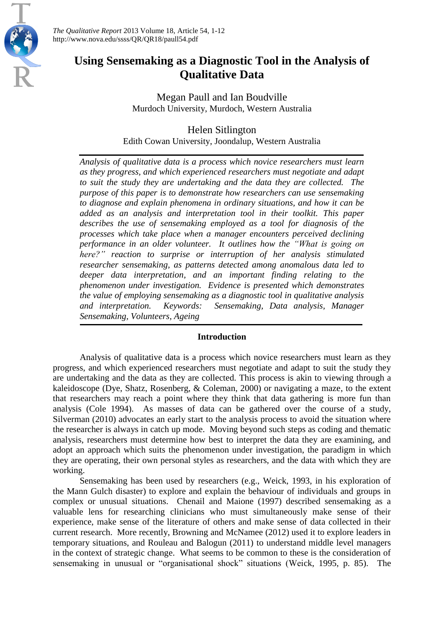

*The Qualitative Report* 2013 Volume 18, Article 54, 1-12 http://www.nova.edu/ssss/QR/QR18/paull54.pdf

## **Using Sensemaking as a Diagnostic Tool in the Analysis of Qualitative Data**

Megan Paull and Ian Boudville Murdoch University, Murdoch, Western Australia

## Helen Sitlington

Edith Cowan University, Joondalup, Western Australia

*Analysis of qualitative data is a process which novice researchers must learn as they progress, and which experienced researchers must negotiate and adapt to suit the study they are undertaking and the data they are collected. The purpose of this paper is to demonstrate how researchers can use sensemaking to diagnose and explain phenomena in ordinary situations, and how it can be added as an analysis and interpretation tool in their toolkit. This paper describes the use of sensemaking employed as a tool for diagnosis of the processes which take place when a manager encounters perceived declining performance in an older volunteer. It outlines how the "What is going on here?" reaction to surprise or interruption of her analysis stimulated researcher sensemaking, as patterns detected among anomalous data led to deeper data interpretation, and an important finding relating to the phenomenon under investigation. Evidence is presented which demonstrates the value of employing sensemaking as a diagnostic tool in qualitative analysis and interpretation. Keywords: Sensemaking, Data analysis, Manager Sensemaking, Volunteers, Ageing*

## **Introduction**

Analysis of qualitative data is a process which novice researchers must learn as they progress, and which experienced researchers must negotiate and adapt to suit the study they are undertaking and the data as they are collected. This process is akin to viewing through a kaleidoscope (Dye, Shatz, Rosenberg, & Coleman, 2000) or navigating a maze, to the extent that researchers may reach a point where they think that data gathering is more fun than analysis (Cole 1994). As masses of data can be gathered over the course of a study, Silverman (2010) advocates an early start to the analysis process to avoid the situation where the researcher is always in catch up mode. Moving beyond such steps as coding and thematic analysis, researchers must determine how best to interpret the data they are examining, and adopt an approach which suits the phenomenon under investigation, the paradigm in which they are operating, their own personal styles as researchers, and the data with which they are working.

Sensemaking has been used by researchers (e.g., Weick, 1993, in his exploration of the Mann Gulch disaster) to explore and explain the behaviour of individuals and groups in complex or unusual situations. Chenail and Maione (1997) described sensemaking as a valuable lens for researching clinicians who must simultaneously make sense of their experience, make sense of the literature of others and make sense of data collected in their current research. More recently, Browning and McNamee (2012) used it to explore leaders in temporary situations, and Rouleau and Balogun (2011) to understand middle level managers in the context of strategic change. What seems to be common to these is the consideration of sensemaking in unusual or "organisational shock" situations (Weick, 1995, p. 85). The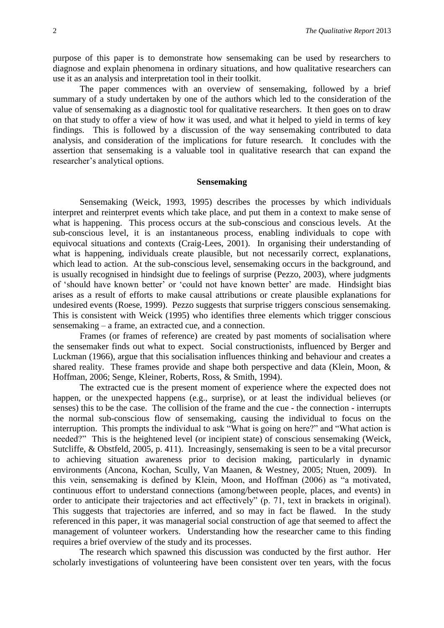purpose of this paper is to demonstrate how sensemaking can be used by researchers to diagnose and explain phenomena in ordinary situations, and how qualitative researchers can use it as an analysis and interpretation tool in their toolkit.

The paper commences with an overview of sensemaking, followed by a brief summary of a study undertaken by one of the authors which led to the consideration of the value of sensemaking as a diagnostic tool for qualitative researchers. It then goes on to draw on that study to offer a view of how it was used, and what it helped to yield in terms of key findings. This is followed by a discussion of the way sensemaking contributed to data analysis, and consideration of the implications for future research. It concludes with the assertion that sensemaking is a valuable tool in qualitative research that can expand the researcher's analytical options.

### **Sensemaking**

Sensemaking (Weick, 1993, 1995) describes the processes by which individuals interpret and reinterpret events which take place, and put them in a context to make sense of what is happening. This process occurs at the sub-conscious and conscious levels. At the sub-conscious level, it is an instantaneous process, enabling individuals to cope with equivocal situations and contexts (Craig-Lees, 2001). In organising their understanding of what is happening, individuals create plausible, but not necessarily correct, explanations, which lead to action. At the sub-conscious level, sensemaking occurs in the background, and is usually recognised in hindsight due to feelings of surprise (Pezzo, 2003), where judgments of 'should have known better' or 'could not have known better' are made. Hindsight bias arises as a result of efforts to make causal attributions or create plausible explanations for undesired events (Roese, 1999). Pezzo suggests that surprise triggers conscious sensemaking. This is consistent with Weick (1995) who identifies three elements which trigger conscious sensemaking – a frame, an extracted cue, and a connection.

Frames (or frames of reference) are created by past moments of socialisation where the sensemaker finds out what to expect. Social constructionists, influenced by Berger and Luckman (1966), argue that this socialisation influences thinking and behaviour and creates a shared reality. These frames provide and shape both perspective and data (Klein, Moon, & Hoffman, 2006; Senge, Kleiner, Roberts, Ross, & Smith, 1994).

The extracted cue is the present moment of experience where the expected does not happen, or the unexpected happens (e.g., surprise), or at least the individual believes (or senses) this to be the case. The collision of the frame and the cue - the connection - interrupts the normal sub-conscious flow of sensemaking, causing the individual to focus on the interruption. This prompts the individual to ask "What is going on here?" and "What action is needed?" This is the heightened level (or incipient state) of conscious sensemaking (Weick, Sutcliffe, & Obstfeld, 2005, p. 411). Increasingly, sensemaking is seen to be a vital precursor to achieving situation awareness prior to decision making, particularly in dynamic environments (Ancona, Kochan, Scully, Van Maanen, & Westney, 2005; Ntuen, 2009). In this vein, sensemaking is defined by Klein, Moon, and Hoffman (2006) as "a motivated, continuous effort to understand connections (among/between people, places, and events) in order to anticipate their trajectories and act effectively" (p. 71, text in brackets in original). This suggests that trajectories are inferred, and so may in fact be flawed. In the study referenced in this paper, it was managerial social construction of age that seemed to affect the management of volunteer workers. Understanding how the researcher came to this finding requires a brief overview of the study and its processes.

The research which spawned this discussion was conducted by the first author. Her scholarly investigations of volunteering have been consistent over ten years, with the focus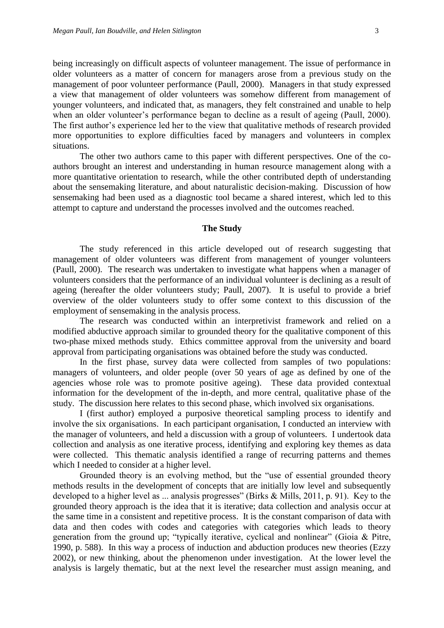being increasingly on difficult aspects of volunteer management. The issue of performance in older volunteers as a matter of concern for managers arose from a previous study on the management of poor volunteer performance (Paull, 2000). Managers in that study expressed a view that management of older volunteers was somehow different from management of younger volunteers, and indicated that, as managers, they felt constrained and unable to help when an older volunteer's performance began to decline as a result of ageing (Paull, 2000). The first author's experience led her to the view that qualitative methods of research provided more opportunities to explore difficulties faced by managers and volunteers in complex situations.

The other two authors came to this paper with different perspectives. One of the coauthors brought an interest and understanding in human resource management along with a more quantitative orientation to research, while the other contributed depth of understanding about the sensemaking literature, and about naturalistic decision-making. Discussion of how sensemaking had been used as a diagnostic tool became a shared interest, which led to this attempt to capture and understand the processes involved and the outcomes reached.

#### **The Study**

The study referenced in this article developed out of research suggesting that management of older volunteers was different from management of younger volunteers (Paull, 2000). The research was undertaken to investigate what happens when a manager of volunteers considers that the performance of an individual volunteer is declining as a result of ageing (hereafter the older volunteers study; Paull, 2007). It is useful to provide a brief overview of the older volunteers study to offer some context to this discussion of the employment of sensemaking in the analysis process.

The research was conducted within an interpretivist framework and relied on a modified abductive approach similar to grounded theory for the qualitative component of this two-phase mixed methods study. Ethics committee approval from the university and board approval from participating organisations was obtained before the study was conducted.

In the first phase, survey data were collected from samples of two populations: managers of volunteers, and older people (over 50 years of age as defined by one of the agencies whose role was to promote positive ageing). These data provided contextual information for the development of the in-depth, and more central, qualitative phase of the study. The discussion here relates to this second phase, which involved six organisations.

I (first author) employed a purposive theoretical sampling process to identify and involve the six organisations. In each participant organisation, I conducted an interview with the manager of volunteers, and held a discussion with a group of volunteers. I undertook data collection and analysis as one iterative process, identifying and exploring key themes as data were collected. This thematic analysis identified a range of recurring patterns and themes which I needed to consider at a higher level.

Grounded theory is an evolving method, but the "use of essential grounded theory methods results in the development of concepts that are initially low level and subsequently developed to a higher level as ... analysis progresses" (Birks & Mills, 2011, p. 91). Key to the grounded theory approach is the idea that it is iterative; data collection and analysis occur at the same time in a consistent and repetitive process. It is the constant comparison of data with data and then codes with codes and categories with categories which leads to theory generation from the ground up; "typically iterative, cyclical and nonlinear" (Gioia & Pitre, 1990, p. 588). In this way a process of induction and abduction produces new theories (Ezzy 2002), or new thinking, about the phenomenon under investigation. At the lower level the analysis is largely thematic, but at the next level the researcher must assign meaning, and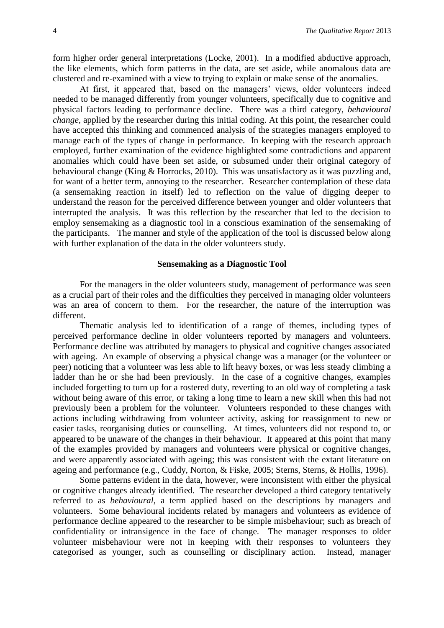form higher order general interpretations (Locke, 2001). In a modified abductive approach, the like elements, which form patterns in the data, are set aside, while anomalous data are clustered and re-examined with a view to trying to explain or make sense of the anomalies.

At first, it appeared that, based on the managers' views, older volunteers indeed needed to be managed differently from younger volunteers, specifically due to cognitive and physical factors leading to performance decline. There was a third category, *behavioural change,* applied by the researcher during this initial coding. At this point, the researcher could have accepted this thinking and commenced analysis of the strategies managers employed to manage each of the types of change in performance. In keeping with the research approach employed, further examination of the evidence highlighted some contradictions and apparent anomalies which could have been set aside, or subsumed under their original category of behavioural change (King & Horrocks, 2010). This was unsatisfactory as it was puzzling and, for want of a better term, annoying to the researcher. Researcher contemplation of these data (a sensemaking reaction in itself) led to reflection on the value of digging deeper to understand the reason for the perceived difference between younger and older volunteers that interrupted the analysis. It was this reflection by the researcher that led to the decision to employ sensemaking as a diagnostic tool in a conscious examination of the sensemaking of the participants. The manner and style of the application of the tool is discussed below along with further explanation of the data in the older volunteers study.

#### **Sensemaking as a Diagnostic Tool**

For the managers in the older volunteers study, management of performance was seen as a crucial part of their roles and the difficulties they perceived in managing older volunteers was an area of concern to them. For the researcher, the nature of the interruption was different.

Thematic analysis led to identification of a range of themes, including types of perceived performance decline in older volunteers reported by managers and volunteers. Performance decline was attributed by managers to physical and cognitive changes associated with ageing. An example of observing a physical change was a manager (or the volunteer or peer) noticing that a volunteer was less able to lift heavy boxes, or was less steady climbing a ladder than he or she had been previously. In the case of a cognitive changes, examples included forgetting to turn up for a rostered duty, reverting to an old way of completing a task without being aware of this error, or taking a long time to learn a new skill when this had not previously been a problem for the volunteer. Volunteers responded to these changes with actions including withdrawing from volunteer activity, asking for reassignment to new or easier tasks, reorganising duties or counselling. At times, volunteers did not respond to, or appeared to be unaware of the changes in their behaviour. It appeared at this point that many of the examples provided by managers and volunteers were physical or cognitive changes, and were apparently associated with ageing; this was consistent with the extant literature on ageing and performance (e.g., Cuddy, Norton, & Fiske, 2005; Sterns, Sterns, & Hollis, 1996).

Some patterns evident in the data, however, were inconsistent with either the physical or cognitive changes already identified. The researcher developed a third category tentatively referred to as *behavioural*, a term applied based on the descriptions by managers and volunteers. Some behavioural incidents related by managers and volunteers as evidence of performance decline appeared to the researcher to be simple misbehaviour; such as breach of confidentiality or intransigence in the face of change. The manager responses to older volunteer misbehaviour were not in keeping with their responses to volunteers they categorised as younger, such as counselling or disciplinary action. Instead, manager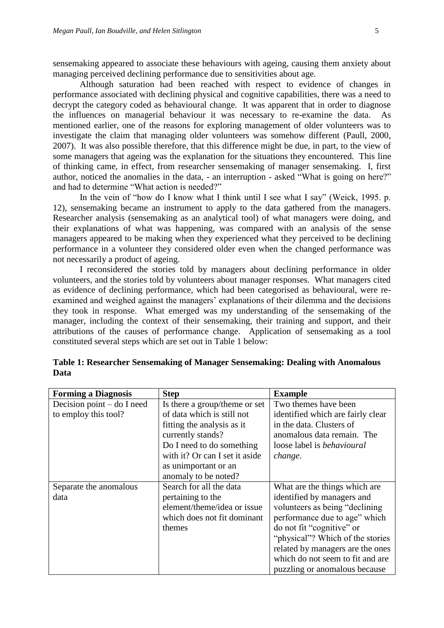sensemaking appeared to associate these behaviours with ageing, causing them anxiety about managing perceived declining performance due to sensitivities about age.

Although saturation had been reached with respect to evidence of changes in performance associated with declining physical and cognitive capabilities, there was a need to decrypt the category coded as behavioural change. It was apparent that in order to diagnose the influences on managerial behaviour it was necessary to re-examine the data. As mentioned earlier, one of the reasons for exploring management of older volunteers was to investigate the claim that managing older volunteers was somehow different (Paull, 2000, 2007). It was also possible therefore, that this difference might be due, in part, to the view of some managers that ageing was the explanation for the situations they encountered. This line of thinking came, in effect, from researcher sensemaking of manager sensemaking. I, first author, noticed the anomalies in the data, - an interruption - asked "What is going on here?" and had to determine "What action is needed?"

In the vein of "how do I know what I think until I see what I say" (Weick, 1995. p. 12), sensemaking became an instrument to apply to the data gathered from the managers. Researcher analysis (sensemaking as an analytical tool) of what managers were doing, and their explanations of what was happening, was compared with an analysis of the sense managers appeared to be making when they experienced what they perceived to be declining performance in a volunteer they considered older even when the changed performance was not necessarily a product of ageing.

I reconsidered the stories told by managers about declining performance in older volunteers, and the stories told by volunteers about manager responses. What managers cited as evidence of declining performance, which had been categorised as behavioural, were reexamined and weighed against the managers' explanations of their dilemma and the decisions they took in response. What emerged was my understanding of the sensemaking of the manager, including the context of their sensemaking, their training and support, and their attributions of the causes of performance change. Application of sensemaking as a tool constituted several steps which are set out in Table 1 below:

| <b>Forming a Diagnosis</b>   | <b>Step</b>                    | <b>Example</b>                    |
|------------------------------|--------------------------------|-----------------------------------|
| Decision point $-$ do I need | Is there a group/theme or set  | Two themes have been              |
| to employ this tool?         | of data which is still not     | identified which are fairly clear |
|                              | fitting the analysis as it     | in the data. Clusters of          |
|                              | currently stands?              | anomalous data remain. The        |
|                              | Do I need to do something      | loose label is <i>behavioural</i> |
|                              | with it? Or can I set it aside | change.                           |
|                              | as unimportant or an           |                                   |
|                              | anomaly to be noted?           |                                   |
| Separate the anomalous       | Search for all the data        | What are the things which are     |
| data                         | pertaining to the              | identified by managers and        |
|                              | element/theme/idea or issue    | volunteers as being "declining"   |
|                              | which does not fit dominant    | performance due to age" which     |
|                              | themes                         | do not fit "cognitive" or         |
|                              |                                | "physical"? Which of the stories  |
|                              |                                | related by managers are the ones  |
|                              |                                | which do not seem to fit and are  |
|                              |                                | puzzling or anomalous because     |

**Table 1: Researcher Sensemaking of Manager Sensemaking: Dealing with Anomalous Data**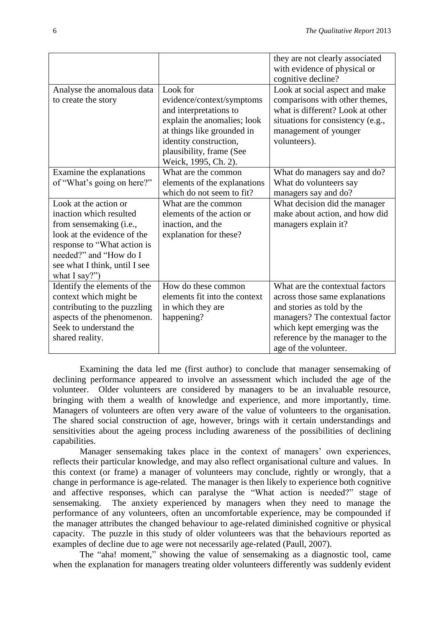|                               |                               | they are not clearly associated<br>with evidence of physical or<br>cognitive decline? |
|-------------------------------|-------------------------------|---------------------------------------------------------------------------------------|
| Analyse the anomalous data    | Look for                      | Look at social aspect and make                                                        |
|                               |                               |                                                                                       |
| to create the story           | evidence/context/symptoms     | comparisons with other themes,                                                        |
|                               | and interpretations to        | what is different? Look at other                                                      |
|                               | explain the anomalies; look   | situations for consistency (e.g.,                                                     |
|                               | at things like grounded in    | management of younger                                                                 |
|                               | identity construction,        | volunteers).                                                                          |
|                               | plausibility, frame (See      |                                                                                       |
|                               | Weick, 1995, Ch. 2).          |                                                                                       |
| Examine the explanations      | What are the common           | What do managers say and do?                                                          |
| of "What's going on here?"    | elements of the explanations  | What do volunteers say                                                                |
|                               | which do not seem to fit?     | managers say and do?                                                                  |
| Look at the action or         | What are the common           | What decision did the manager                                                         |
| inaction which resulted       | elements of the action or     | make about action, and how did                                                        |
| from sensemaking (i.e.,       | inaction, and the             | managers explain it?                                                                  |
| look at the evidence of the   | explanation for these?        |                                                                                       |
| response to "What action is   |                               |                                                                                       |
| needed?" and "How do I        |                               |                                                                                       |
|                               |                               |                                                                                       |
| see what I think, until I see |                               |                                                                                       |
| what I say?")                 | How do these common           |                                                                                       |
| Identify the elements of the  |                               | What are the contextual factors                                                       |
| context which might be        | elements fit into the context | across those same explanations                                                        |
| contributing to the puzzling  | in which they are             | and stories as told by the                                                            |
| aspects of the phenomenon.    | happening?                    | managers? The contextual factor                                                       |
| Seek to understand the        |                               | which kept emerging was the                                                           |
| shared reality.               |                               | reference by the manager to the                                                       |
|                               |                               | age of the volunteer.                                                                 |

Examining the data led me (first author) to conclude that manager sensemaking of declining performance appeared to involve an assessment which included the age of the volunteer. Older volunteers are considered by managers to be an invaluable resource, bringing with them a wealth of knowledge and experience, and more importantly, time. Managers of volunteers are often very aware of the value of volunteers to the organisation. The shared social construction of age, however, brings with it certain understandings and sensitivities about the ageing process including awareness of the possibilities of declining capabilities.

Manager sensemaking takes place in the context of managers' own experiences, reflects their particular knowledge, and may also reflect organisational culture and values. In this context (or frame) a manager of volunteers may conclude, rightly or wrongly, that a change in performance is age-related. The manager is then likely to experience both cognitive and affective responses, which can paralyse the "What action is needed?" stage of sensemaking. The anxiety experienced by managers when they need to manage the performance of any volunteers, often an uncomfortable experience, may be compounded if the manager attributes the changed behaviour to age-related diminished cognitive or physical capacity. The puzzle in this study of older volunteers was that the behaviours reported as examples of decline due to age were not necessarily age-related (Paull, 2007).

The "aha! moment," showing the value of sensemaking as a diagnostic tool, came when the explanation for managers treating older volunteers differently was suddenly evident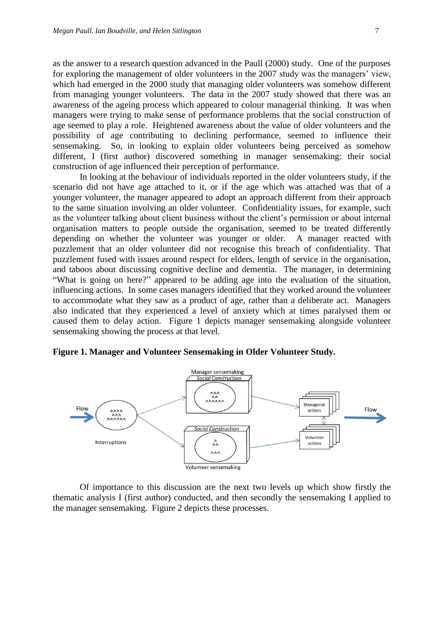as the answer to a research question advanced in the Paull (2000) study. One of the purposes for exploring the management of older volunteers in the 2007 study was the managers' view, which had emerged in the 2000 study that managing older volunteers was somehow different from managing younger volunteers. The data in the 2007 study showed that there was an awareness of the ageing process which appeared to colour managerial thinking. It was when managers were trying to make sense of performance problems that the social construction of age seemed to play a role. Heightened awareness about the value of older volunteers and the possibility of age contributing to declining performance, seemed to influence their sensemaking. So, in looking to explain older volunteers being perceived as somehow different, I (first author) discovered something in manager sensemaking: their social construction of age influenced their perception of performance.

In looking at the behaviour of individuals reported in the older volunteers study, if the scenario did not have age attached to it, or if the age which was attached was that of a younger volunteer, the manager appeared to adopt an approach different from their approach to the same situation involving an older volunteer. Confidentiality issues, for example, such as the volunteer talking about client business without the client's permission or about internal organisation matters to people outside the organisation, seemed to be treated differently depending on whether the volunteer was younger or older. A manager reacted with puzzlement that an older volunteer did not recognise this breach of confidentiality. That puzzlement fused with issues around respect for elders, length of service in the organisation, and taboos about discussing cognitive decline and dementia. The manager, in determining "What is going on here?" appeared to be adding age into the evaluation of the situation, influencing actions. In some cases managers identified that they worked around the volunteer to accommodate what they saw as a product of age, rather than a deliberate act. Managers also indicated that they experienced a level of anxiety which at times paralysed them or caused them to delay action. Figure 1 depicts manager sensemaking alongside volunteer sensemaking showing the process at that level.





Of importance to this discussion are the next two levels up which show firstly the thematic analysis I (first author) conducted, and then secondly the sensemaking I applied to the manager sensemaking. Figure 2 depicts these processes.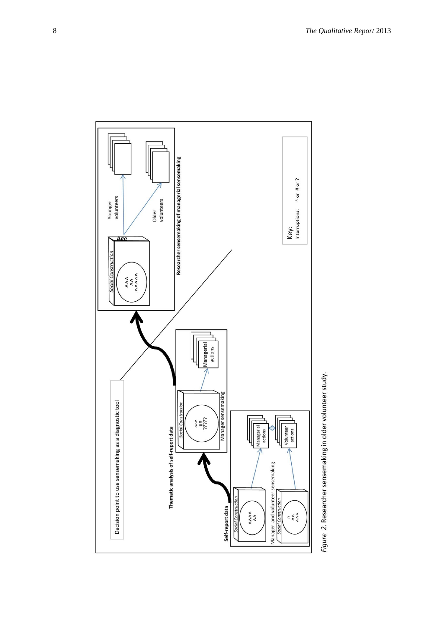

Figure 2. Researcher sensemaking in older volunteer study.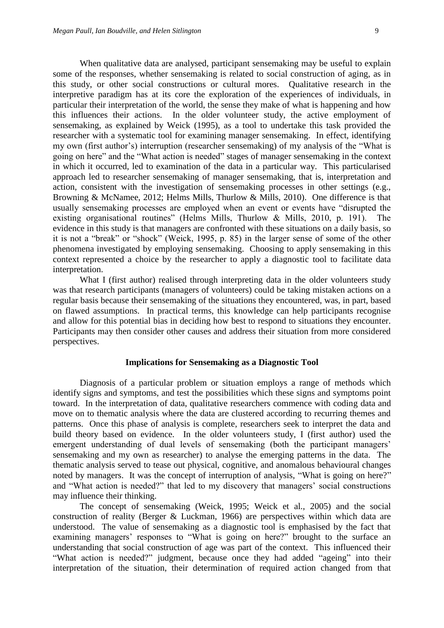When qualitative data are analysed, participant sensemaking may be useful to explain some of the responses, whether sensemaking is related to social construction of aging, as in this study, or other social constructions or cultural mores. Qualitative research in the interpretive paradigm has at its core the exploration of the experiences of individuals, in particular their interpretation of the world, the sense they make of what is happening and how this influences their actions. In the older volunteer study, the active employment of sensemaking, as explained by Weick (1995), as a tool to undertake this task provided the researcher with a systematic tool for examining manager sensemaking. In effect, identifying my own (first author's) interruption (researcher sensemaking) of my analysis of the "What is going on here" and the "What action is needed" stages of manager sensemaking in the context in which it occurred, led to examination of the data in a particular way. This particularised approach led to researcher sensemaking of manager sensemaking, that is, interpretation and action, consistent with the investigation of sensemaking processes in other settings (e.g., Browning & McNamee, 2012; Helms Mills, Thurlow & Mills, 2010). One difference is that usually sensemaking processes are employed when an event or events have "disrupted the existing organisational routines" (Helms Mills, Thurlow & Mills, 2010, p. 191). The evidence in this study is that managers are confronted with these situations on a daily basis, so it is not a "break" or "shock" (Weick, 1995, p. 85) in the larger sense of some of the other phenomena investigated by employing sensemaking. Choosing to apply sensemaking in this context represented a choice by the researcher to apply a diagnostic tool to facilitate data interpretation.

What I (first author) realised through interpreting data in the older volunteers study was that research participants (managers of volunteers) could be taking mistaken actions on a regular basis because their sensemaking of the situations they encountered, was, in part, based on flawed assumptions. In practical terms, this knowledge can help participants recognise and allow for this potential bias in deciding how best to respond to situations they encounter. Participants may then consider other causes and address their situation from more considered perspectives.

### **Implications for Sensemaking as a Diagnostic Tool**

Diagnosis of a particular problem or situation employs a range of methods which identify signs and symptoms, and test the possibilities which these signs and symptoms point toward. In the interpretation of data, qualitative researchers commence with coding data and move on to thematic analysis where the data are clustered according to recurring themes and patterns. Once this phase of analysis is complete, researchers seek to interpret the data and build theory based on evidence. In the older volunteers study, I (first author) used the emergent understanding of dual levels of sensemaking (both the participant managers' sensemaking and my own as researcher) to analyse the emerging patterns in the data. The thematic analysis served to tease out physical, cognitive, and anomalous behavioural changes noted by managers. It was the concept of interruption of analysis, "What is going on here?" and "What action is needed?" that led to my discovery that managers' social constructions may influence their thinking.

The concept of sensemaking (Weick, 1995; Weick et al., 2005) and the social construction of reality (Berger & Luckman, 1966) are perspectives within which data are understood. The value of sensemaking as a diagnostic tool is emphasised by the fact that examining managers' responses to "What is going on here?" brought to the surface an understanding that social construction of age was part of the context. This influenced their "What action is needed?" judgment, because once they had added "ageing" into their interpretation of the situation, their determination of required action changed from that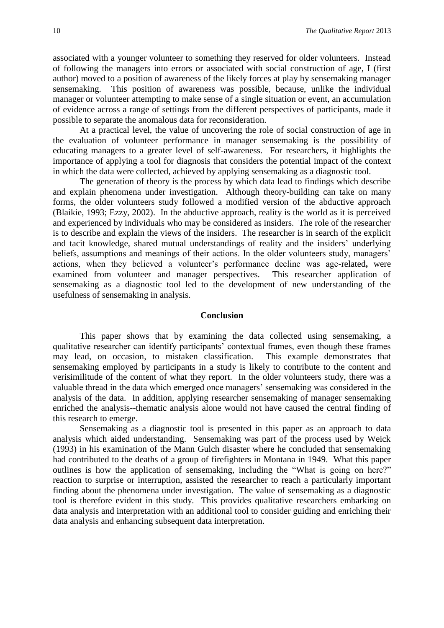associated with a younger volunteer to something they reserved for older volunteers. Instead of following the managers into errors or associated with social construction of age, I (first author) moved to a position of awareness of the likely forces at play by sensemaking manager sensemaking. This position of awareness was possible, because, unlike the individual manager or volunteer attempting to make sense of a single situation or event, an accumulation of evidence across a range of settings from the different perspectives of participants, made it possible to separate the anomalous data for reconsideration.

At a practical level, the value of uncovering the role of social construction of age in the evaluation of volunteer performance in manager sensemaking is the possibility of educating managers to a greater level of self-awareness. For researchers, it highlights the importance of applying a tool for diagnosis that considers the potential impact of the context in which the data were collected, achieved by applying sensemaking as a diagnostic tool.

The generation of theory is the process by which data lead to findings which describe and explain phenomena under investigation. Although theory-building can take on many forms, the older volunteers study followed a modified version of the abductive approach (Blaikie, 1993; Ezzy, 2002). In the abductive approach, reality is the world as it is perceived and experienced by individuals who may be considered as insiders. The role of the researcher is to describe and explain the views of the insiders. The researcher is in search of the explicit and tacit knowledge, shared mutual understandings of reality and the insiders' underlying beliefs, assumptions and meanings of their actions. In the older volunteers study, managers' actions, when they believed a volunteer's performance decline was age-related**,** were examined from volunteer and manager perspectives. This researcher application of sensemaking as a diagnostic tool led to the development of new understanding of the usefulness of sensemaking in analysis.

#### **Conclusion**

This paper shows that by examining the data collected using sensemaking, a qualitative researcher can identify participants' contextual frames, even though these frames may lead, on occasion, to mistaken classification. This example demonstrates that sensemaking employed by participants in a study is likely to contribute to the content and verisimilitude of the content of what they report. In the older volunteers study, there was a valuable thread in the data which emerged once managers' sensemaking was considered in the analysis of the data. In addition, applying researcher sensemaking of manager sensemaking enriched the analysis--thematic analysis alone would not have caused the central finding of this research to emerge.

Sensemaking as a diagnostic tool is presented in this paper as an approach to data analysis which aided understanding. Sensemaking was part of the process used by Weick (1993) in his examination of the Mann Gulch disaster where he concluded that sensemaking had contributed to the deaths of a group of firefighters in Montana in 1949. What this paper outlines is how the application of sensemaking, including the "What is going on here?" reaction to surprise or interruption, assisted the researcher to reach a particularly important finding about the phenomena under investigation. The value of sensemaking as a diagnostic tool is therefore evident in this study. This provides qualitative researchers embarking on data analysis and interpretation with an additional tool to consider guiding and enriching their data analysis and enhancing subsequent data interpretation.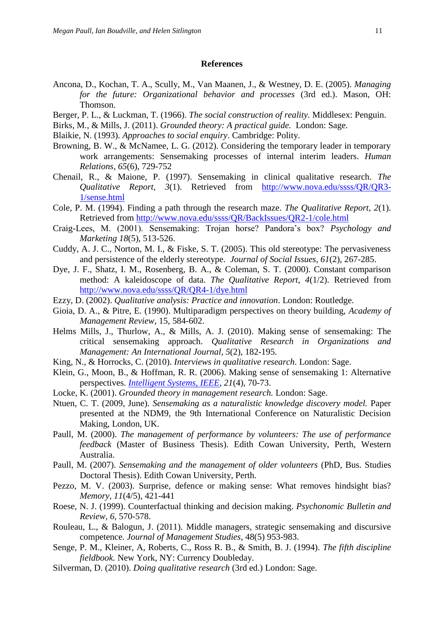#### **References**

- Ancona, D., Kochan, T. A., Scully, M., Van Maanen, J., & Westney, D. E. (2005). *Managing for the future: Organizational behavior and processes* (3rd ed.). Mason, OH: Thomson.
- Berger, P. L., & Luckman, T. (1966). *The social construction of reality.* Middlesex: Penguin.
- Birks, M., & Mills, J. (2011). *Grounded theory: A practical guide.* London: Sage.
- Blaikie, N. (1993). *Approaches to social enquiry*. Cambridge: Polity.
- Browning, B. W., & McNamee, L. G. (2012). Considering the temporary leader in temporary work arrangements: Sensemaking processes of internal interim leaders. *Human Relations, 65*(6), 729-752
- Chenail, R., & Maione, P. (1997). Sensemaking in clinical qualitative research. *The Qualitative Report, 3*(1). Retrieved from [http://www.nova.edu/ssss/QR/QR3-](http://www.nova.edu/ssss/QR/QR3-1/sense.html) [1/sense.html](http://www.nova.edu/ssss/QR/QR3-1/sense.html)
- Cole, P. M. (1994). Finding a path through the research maze. *The Qualitative Report*, *2*(1). Retrieved from<http://www.nova.edu/ssss/QR/BackIssues/QR2-1/cole.html>
- Craig-Lees, M. (2001). Sensemaking: Trojan horse? Pandora's box? *Psychology and Marketing 18*(5), 513-526.
- Cuddy, A. J. C., Norton, M. I., & Fiske, S. T. (2005). This old stereotype: The pervasiveness and persistence of the elderly stereotype. *Journal of Social Issues, 61*(2), 267-285.
- Dye, J. F., Shatz, I. M., Rosenberg, B. A., & Coleman, S. T. (2000). Constant comparison method: A kaleidoscope of data. *The Qualitative Report*, *4*(1/2). Retrieved from <http://www.nova.edu/ssss/QR/QR4-1/dye.html>
- Ezzy, D. (2002). *Qualitative analysis: Practice and innovation*. London: Routledge.
- Gioia, D. A., & Pitre, E. (1990). Multiparadigm perspectives on theory building, *Academy of Management Review,* 15, 584-602.
- Helms Mills, J., Thurlow, A., & Mills, A. J. (2010). Making sense of sensemaking: The critical sensemaking approach. *Qualitative Research in Organizations and Management: An International Journal, 5*(2), 182-195.
- King, N., & Horrocks, C. (2010). *Interviews in qualitative research*. London: Sage.
- Klein, G., Moon, B., & Hoffman, R. R. (2006). Making sense of sensemaking 1: Alternative perspectives. *[Intelligent Systems, IEEE](http://ieeexplore.ieee.org/xpl/RecentIssue.jsp?punumber=9670)*, *21*(4), 70-73.
- Locke, K. (2001). *Grounded theory in management research.* London: Sage.
- Ntuen, C. T. (2009, June). *Sensemaking as a naturalistic knowledge discovery model.* Paper presented at the NDM9, the 9th International Conference on Naturalistic Decision Making, London, UK.
- Paull, M. (2000). *The management of performance by volunteers: The use of performance feedback* (Master of Business Thesis). Edith Cowan University, Perth, Western Australia.
- Paull, M. (2007). *Sensemaking and the management of older volunteers* (PhD, Bus. Studies Doctoral Thesis). Edith Cowan University, Perth.
- Pezzo, M. V. (2003). Surprise, defence or making sense: What removes hindsight bias? *Memory, 11*(4/5), 421-441
- Roese, N. J. (1999). Counterfactual thinking and decision making. *Psychonomic Bulletin and Review, 6,* 570-578.
- Rouleau, L., & Balogun, J. (2011). Middle managers, strategic sensemaking and discursive competence. *Journal of Management Studies,* 48(5) 953-983.
- Senge, P. M., Kleiner, A, Roberts, C., Ross R. B., & Smith, B. J. (1994). *The fifth discipline fieldbook.* New York, NY: Currency Doubleday.
- Silverman, D. (2010). *Doing qualitative research* (3rd ed.) London: Sage.